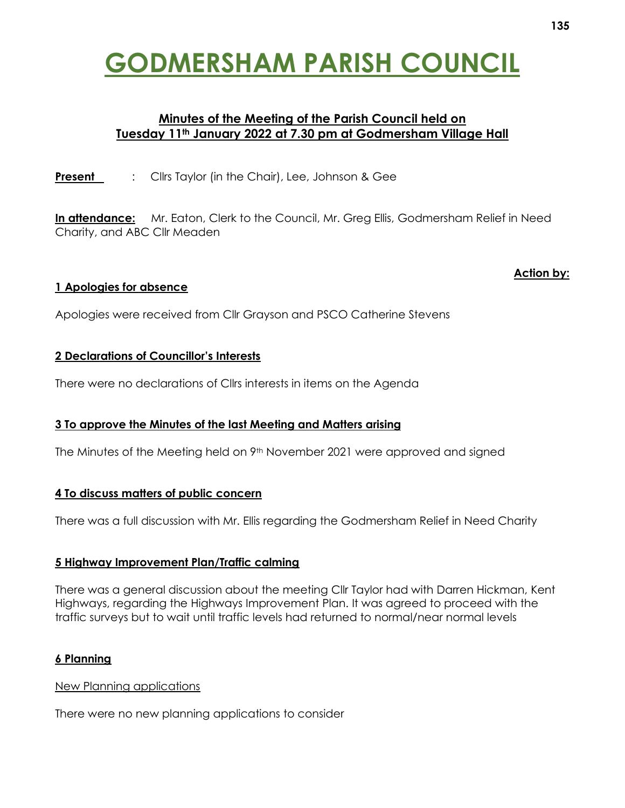# **GODMERSHAM PARISH COUNCIL**

## **Minutes of the Meeting of the Parish Council held on Tuesday 11th January 2022 at 7.30 pm at Godmersham Village Hall**

**Present** : Clirs Taylor (in the Chair), Lee, Johnson & Gee

**In attendance:** Mr. Eaton, Clerk to the Council, Mr. Greg Ellis, Godmersham Relief in Need Charity, and ABC Cllr Meaden

## **1 Apologies for absence**

Apologies were received from Cllr Grayson and PSCO Catherine Stevens

## **2 Declarations of Councillor's Interests**

There were no declarations of Cllrs interests in items on the Agenda

## **3 To approve the Minutes of the last Meeting and Matters arising**

The Minutes of the Meeting held on 9th November 2021 were approved and signed

#### **4 To discuss matters of public concern**

There was a full discussion with Mr. Ellis regarding the Godmersham Relief in Need Charity

#### **5 Highway Improvement Plan/Traffic calming**

There was a general discussion about the meeting Cllr Taylor had with Darren Hickman, Kent Highways, regarding the Highways Improvement Plan. It was agreed to proceed with the traffic surveys but to wait until traffic levels had returned to normal/near normal levels

## **6 Planning**

#### New Planning applications

There were no new planning applications to consider

**Action by:**